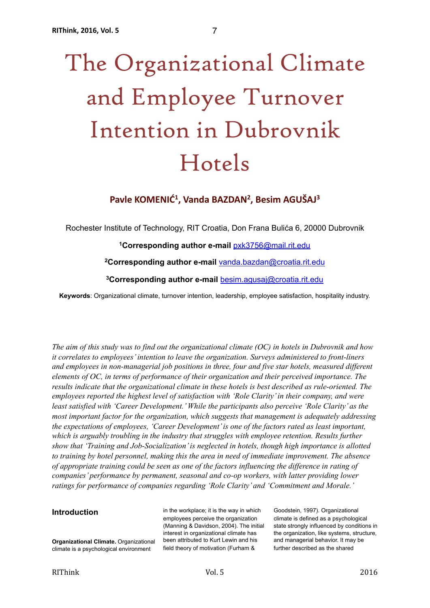# The Organizational Climate and Employee Turnover Intention in Dubrovnik Hotels

Pavle KOMENIĆ<sup>1</sup>, Vanda BAZDAN<sup>2</sup>, Besim AGUŠAJ<sup>3</sup>

Rochester Institute of Technology, RIT Croatia, Don Frana Bulića 6, 20000 Dubrovnik

**1Corresponding author e-mail** [pxk3756@mail.rit.edu](mailto:pxk3756@mail.rit.edu)

**2Corresponding author e-mail** [vanda.bazdan@croatia.rit.edu](mailto:vanda.bazdan@croatia.rit.edu)

**3Corresponding author e-mail** [besim.agusaj@croatia.rit.edu](mailto:besim.agusaj@croatia.rit.edu)

**Keywords**: Organizational climate, turnover intention, leadership, employee satisfaction, hospitality industry.

*The aim of this study was to find out the organizational climate (OC) in hotels in Dubrovnik and how it correlates to employees' intention to leave the organization. Surveys administered to front-liners and employees in non-managerial job positions in three, four and five star hotels, measured different elements of OC, in terms of performance of their organization and their perceived importance. The results indicate that the organizational climate in these hotels is best described as rule-oriented. The employees reported the highest level of satisfaction with 'Role Clarity' in their company, and were least satisfied with 'Career Development.' While the participants also perceive 'Role Clarity' as the most important factor for the organization, which suggests that management is adequately addressing the expectations of employees, 'Career Development' is one of the factors rated as least important, which is arguably troubling in the industry that struggles with employee retention. Results further show that 'Training and Job-Socialization' is neglected in hotels, though high importance is allotted to training by hotel personnel, making this the area in need of immediate improvement. The absence of appropriate training could be seen as one of the factors influencing the difference in rating of companies' performance by permanent, seasonal and co-op workers, with latter providing lower ratings for performance of companies regarding 'Role Clarity' and 'Commitment and Morale.'*

## **Introduction**

in the workplace; it is the way in which employees perceive the organization (Manning & Davidson, 2004). The initial interest in organizational climate has been attributed to Kurt Lewin and his field theory of motivation (Furham &

Goodstein, 1997). Organizational climate is defined as a psychological state strongly influenced by conditions in the organization, like systems, structure, and managerial behavior. It may be further described as the shared

**Organizational Climate.** Organizational climate is a psychological environment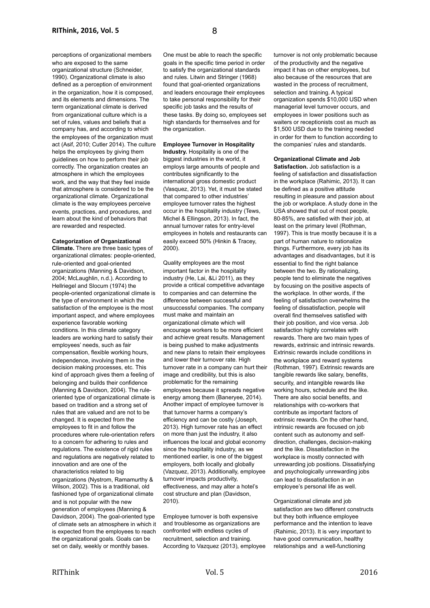perceptions of organizational members who are exposed to the same organizational structure (Schneider, 1990). Organizational climate is also defined as a perception of environment in the organization, how it is composed, and its elements and dimensions. The term organizational climate is derived from organizational culture which is a set of rules, values and beliefs that a company has, and according to which the employees of the organization must act (Asif, 2010; Cutler 2014). The culture helps the employees by giving them guidelines on how to perform their job correctly. The organization creates an atmosphere in which the employees work, and the way that they feel inside that atmosphere is considered to be the organizational climate. Organizational climate is the way employees perceive events, practices, and procedures, and learn about the kind of behaviors that are rewarded and respected.

## **Categorization of Organizational**

**Climate.** There are three basic types of organizational climates: people-oriented, rule-oriented and goal-oriented organizations (Manning & Davidson, 2004; McLaughlin, n.d.). According to Hellriegel and Slocum (1974) the people-oriented organizational climate is the type of environment in which the satisfaction of the employee is the most important aspect, and where employees experience favorable working conditions. In this climate category leaders are working hard to satisfy their employees' needs, such as fair compensation, flexible working hours, independence, involving them in the decision making processes, etc. This kind of approach gives them a feeling of belonging and builds their confidence (Manning & Davidson, 2004). The ruleoriented type of organizational climate is based on tradition and a strong set of rules that are valued and are not to be changed. It is expected from the employees to fit in and follow the procedures where rule-orientation refers to a concern for adhering to rules and regulations. The existence of rigid rules and regulations are negatively related to innovation and are one of the characteristics related to big organizations (Nystrom, Ramamurthy & Wilson, 2002). This is a traditional, old fashioned type of organizational climate and is not popular with the new generation of employees (Manning & Davidson, 2004). The goal-oriented type of climate sets an atmosphere in which it is expected from the employees to reach the organizational goals. Goals can be set on daily, weekly or monthly bases.

One must be able to reach the specific goals in the specific time period in order to satisfy the organizational standards and rules. Litwin and Stringer (1968) found that goal-oriented organizations and leaders encourage their employees to take personal responsibility for their specific job tasks and the results of these tasks. By doing so, employees set high standards for themselves and for the organization.

## **Employee Turnover in Hospitality**

**Industry.** Hospitality is one of the biggest industries in the world, it employs large amounts of people and contributes significantly to the international gross domestic product (Vasquez, 2013). Yet, it must be stated that compared to other industries' employee turnover rates the highest occur in the hospitality industry (Tews, Michel & Ellingson, 2013). In fact, the annual turnover rates for entry-level employees in hotels and restaurants can easily exceed 50% (Hinkin & Tracey, 2000).

Quality employees are the most important factor in the hospitality industry (He, Lai, &Li 2011), as they provide a critical competitive advantage to companies and can determine the difference between successful and unsuccessful companies. The company must make and maintain an organizational climate which will encourage workers to be more efficient and achieve great results. Management is being pushed to make adjustments and new plans to retain their employees and lower their turnover rate. High turnover rate in a company can hurt their image and credibility, but this is also problematic for the remaining employees because it spreads negative energy among them (Baneryee, 2014). Another impact of employee turnover is that turnover harms a company's efficiency and can be costly (Joseph, 2013). High turnover rate has an effect on more than just the industry, it also influences the local and global economy since the hospitality industry, as we mentioned earlier, is one of the biggest employers, both locally and globally (Vazquez, 2013). Additionally, employee turnover impacts productivity, effectiveness, and may alter a hotel's cost structure and plan (Davidson, 2010).

Employee turnover is both expensive and troublesome as organizations are confronted with endless cycles of recruitment, selection and training. According to Vazquez (2013), employee turnover is not only problematic because of the productivity and the negative impact it has on other employees, but also because of the resources that are wasted in the process of recruitment, selection and training. A typical organization spends \$10,000 USD when managerial level turnover occurs, and employees in lower positions such as waiters or receptionists cost as much as \$1,500 USD due to the training needed in order for them to function according to the companies' rules and standards.

## **Organizational Climate and Job**

**Satisfaction.** Job satisfaction is a feeling of satisfaction and dissatisfaction in the workplace (Rahimic, 2013). It can be defined as a positive attitude resulting in pleasure and passion about the job or workplace. A study done in the USA showed that out of most people, 80-85%, are satisfied with their job, at least on the primary level (Rothman, 1997). This is true mostly because it is a part of human nature to rationalize things. Furthermore, every job has its advantages and disadvantages, but it is essential to find the right balance between the two. By rationalizing, people tend to eliminate the negatives by focusing on the positive aspects of the workplace. In other words, if the feeling of satisfaction overwhelms the feeling of dissatisfaction, people will overall find themselves satisfied with their job position, and vice versa. Job satisfaction highly correlates with rewards. There are two main types of rewards, extrinsic and intrinsic rewards. Extrinsic rewards include conditions in the workplace and reward systems (Rothman, 1997). Extrinsic rewards are tangible rewards like salary, benefits, security, and intangible rewards like working hours, schedule and the like. There are also social benefits, and relationships with co-workers that contribute as important factors of extrinsic rewards. On the other hand, intrinsic rewards are focused on job content such as autonomy and selfdirection, challenges, decision-making and the like. Dissatisfaction in the workplace is mostly connected with unrewarding job positions. Dissatisfying and psychologically unrewarding jobs can lead to dissatisfaction in an employee's personal life as well.

Organizational climate and job satisfaction are two different constructs but they both influence employee performance and the intention to leave (Rahimic, 2013). It is very important to have good communication, healthy relationships and a well-functioning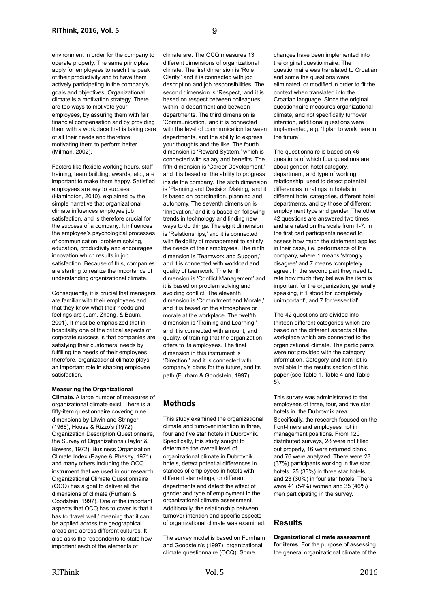environment in order for the company to operate properly. The same principles apply for employees to reach the peak of their productivity and to have them actively participating in the company's goals and objectives. Organizational climate is a motivation strategy. There are too ways to motivate your employees, by assuring them with fair financial compensation and by providing them with a workplace that is taking care of all their needs and therefore motivating them to perform better (Milman, 2002).

Factors like flexible working hours, staff training, team building, awards, etc., are important to make them happy. Satisfied employees are key to success (Hamington, 2010), explained by the simple narrative that organizational climate influences employee job satisfaction, and is therefore crucial for the success of a company. It influences the employee's psychological processes of communication, problem solving, education, productivity and encourages innovation which results in job satisfaction. Because of this, companies are starting to realize the importance of understanding organizational climate.

Consequently, it is crucial that managers are familiar with their employees and that they know what their needs and feelings are (Lam, Zhang, & Baum, 2001). It must be emphasized that in hospitality one of the critical aspects of corporate success is that companies are satisfying their customers' needs by fulfilling the needs of their employees; therefore, organizational climate plays an important role in shaping employee satisfaction.

## **Measuring the Organizational**

**Climate.** A large number of measures of organizational climate exist. There is a fifty-item questionnaire covering nine dimensions by Litwin and Stringer (1968), House & Rizzo's (1972) Organization Description Questionnaire, the Survey of Organizations (Taylor & Bowers, 1972), Business Organization Climate Index (Payne & Phesey, 1971), and many others including the OCQ instrument that we used in our research. Organizational Climate Questionnaire (OCQ) has a goal to deliver all the dimensions of climate (Furham & Goodstein, 1997). One of the important aspects that OCQ has to cover is that it has to 'travel well,' meaning that it can be applied across the geographical areas and across different cultures. It also asks the respondents to state how important each of the elements of

climate are. The OCQ measures 13 different dimensions of organizational climate. The first dimension is 'Role Clarity,' and it is connected with job description and job responsibilities. The second dimension is 'Respect,' and it is based on respect between colleagues within a department and between departments. The third dimension is 'Communication,' and it is connected with the level of communication between departments, and the ability to express your thoughts and the like. The fourth dimension is 'Reward System,' which is connected with salary and benefits. The fifth dimension is 'Career Development.' and it is based on the ability to progress inside the company. The sixth dimension is 'Planning and Decision Making,' and it is based on coordination, planning and autonomy. The seventh dimension is 'Innovation,' and it is based on following trends in technology and finding new ways to do things. The eight dimension is 'Relationships,' and it is connected with flexibility of management to satisfy the needs of their employees. The ninth dimension is 'Teamwork and Support' and it is connected with workload and quality of teamwork. The tenth dimension is 'Conflict Management' and it is based on problem solving and avoiding conflict. The eleventh dimension is 'Commitment and Morale,' and it is based on the atmosphere or morale at the workplace. The twelfth dimension is 'Training and Learning,' and it is connected with amount, and quality, of training that the organization offers to its employees. The final dimension in this instrument is 'Direction,' and it is connected with company's plans for the future, and its path (Furham & Goodstein, 1997).

## **Methods**

This study examined the organizational climate and turnover intention in three, four and five star hotels in Dubrovnik. Specifically, this study sought to determine the overall level of organizational climate in Dubrovnik hotels, detect potential differences in stances of employees in hotels with different star ratings, or different departments and detect the effect of gender and type of employment in the organizational climate assessment. Additionally, the relationship between turnover intention and specific aspects of organizational climate was examined.

The survey model is based on Furnham and Goodstein's (1997) organizational climate questionnaire (OCQ). Some

changes have been implemented into the original questionnaire. The questionnaire was translated to Croatian and some the questions were eliminated, or modified in order to fit the context when translated into the Croatian language. Since the original questionnaire measures organizational climate, and not specifically turnover intention, additional questions were implemented, e.g. 'I plan to work here in the future'.

The questionnaire is based on 46 questions of which four questions are about gender, hotel category, department, and type of working relationship, used to detect potential differences in ratings in hotels in different hotel categories, different hotel departments, and by those of different employment type and gender. The other 42 questions are answered two times and are rated on the scale from 1-7. In the first part participants needed to assess how much the statement applies in their case, i.e. performance of the company, where 1 means 'strongly disagree' and 7 means 'completely agree'. In the second part they need to rate how much they believe the item is important for the organization, generally speaking, if 1 stood for 'completely unimportant', and 7 for 'essential'.

The 42 questions are divided into thirteen different categories which are based on the different aspects of the workplace which are connected to the organizational climate. The participants were not provided with the category information. Category and item list is available in the results section of this paper (see Table 1, Table 4 and Table 5).

This survey was administrated to the employees of three, four, and five star hotels in the Dubrovnik area. Specifically, the research focused on the front-liners and employees not in management positions. From 120 distributed surveys, 28 were not filled out properly, 16 were returned blank, and 76 were analyzed. There were 28 (37%) participants working in five star hotels, 25 (33%) in three star hotels, and 23 (30%) in four star hotels. There were 41 (54%) women and 35 (46%) men participating in the survey.

## **Results**

## **Organizational climate assessment for items.** For the purpose of assessing the general organizational climate of the

RIThink 2016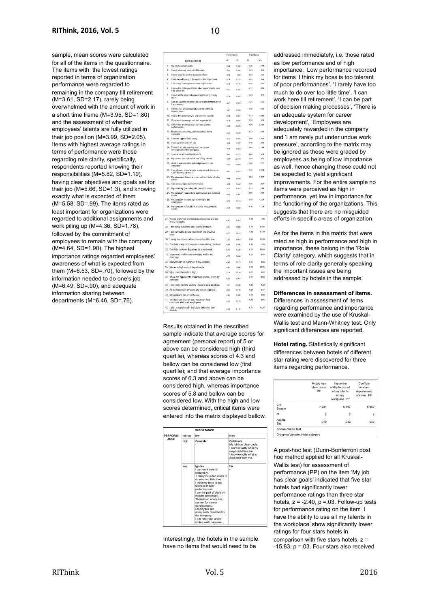sample, mean scores were calculated for all of the items in the questionnaire. The items with the lowest ratings reported in terms of organization performance were regarded to remaining in the company till retirement (M=3.61, SD=2.17), rarely being overwhelmed with the amount of work in a short time frame (M=3.95, SD=1.80) and the assessment of whether employees' talents are fully utilized in their job position (M=3.99, SD=2.05). Items with highest average ratings in terms of performance were those regarding role clarity, specifically, respondents reported knowing their responsibilities (M=5.82, SD=1.19), having clear objectives and goals set for their job (M=5.66, SD=1.3), and knowing exactly what is expected of them (M=5.58, SD=.99). The items rated as least important for organizations were regarded to additional assignments and work piling up (M=4.36, SD=1.78), followed by the commitment of employees to remain with the company (M=4.64, SD=1.90). The highest importance ratings regarded employees' awareness of what is expected from them (M=6.53, SD=.70), followed by the information needed to do one's job  $(M=6.49, SD=0.90)$ , and adequate information sharing between departments (M=6.46, SD=.76).

|                |                                                                                        | Performance |              |      | Importance |  |
|----------------|----------------------------------------------------------------------------------------|-------------|--------------|------|------------|--|
|                | Item number                                                                            | M           | SD           | M    | SD         |  |
| 1.             | My job has clear goals                                                                 | 5.66        | 1,302        | 6.36 | .778       |  |
| $\overline{2}$ | I know what my responsibilities are.                                                   | 5.82        | 1.186        | 6.43 | .854       |  |
| 3.             | I know exactly what is expected of me.                                                 | 5.58        | ,983         | 6.53 | .702       |  |
| 4.             | I feel valued by my colleagues in the department.                                      | 5.26        | 1.215        | 6.03 | .894       |  |
| 5.             | I value my colleagues from the department.                                             | 5.39        | 1.415        | 6.26 | .822       |  |
| 6.             | I value the colleagues from other departments, and<br>they value my.                   | 5.53        | 1.301        | 6.17 | 839        |  |
| 7.             | I have all the information needed to carry out my<br>work                              | 5.29        | 1.565        | 6.49 | .902       |  |
| R              | I am adequately informed about significant issues in<br>the company                    | 4.87        | 1.526        | 6.21 | .736       |  |
| 9              | Information are adequately shared between<br>departments.                              | 5.07        | 1.700        | 6.46 | .756       |  |
|                | 10. I have the opportunity to express my opinion.                                      | 5,05        | 1,624        | 6.17 | 1.012      |  |
|                | 11. Good work is recognized and appreciated.                                           | 4,78        | 1.654        | 6.39 | .850       |  |
| 12.            | I think that my boss is too tolerant of poor<br>performance                            | 4.00        | 2,200        | 4.76 | 2.320      |  |
|                | 13. Employees are adequately rewarded in my<br>company                                 | 4.24        | 1.945        | 5.72 | 1.493      |  |
|                | 14. I receive appropriate salary.                                                      | 4.72        | 1.466        | 5.95 | 1.522      |  |
|                | 15. I feel satisfied with my job.                                                      | 4.62        | 1.697        | 6.16 | .880       |  |
| 16.            | There is an adequate system for career<br>development in the company,                  | 4,18        | 1,853        | 5.84 | 1.189      |  |
|                | 17. I can work here until retirement.                                                  | 3.61        | 2.173        | 4.64 | 1,909      |  |
|                | 18. My current job makes full use of my talents.                                       | 3.99        | 2,049        | 6.04 | 972        |  |
|                | 19. Work is well coordinated and planned in my<br>company.                             | 4.42        | 1.899        | 6,42 | .771       |  |
|                | 20. I am allowed to participate in significant decisions<br>that influence my work.    | 4.07        | 1.857        | 5,42 | 1,268      |  |
|                | 21. My supervisor likes me to consult him before I take<br>action                      | 4.68        | 1.659        | 5.84 | 1.357      |  |
|                | 22. I am encouraged to be innovative.                                                  | 4,08        | 1,742        | 5.96 | .807       |  |
|                | 23. My company has adequate plans for future.                                          | 4.74        | 1.962        | 6.33 | .719       |  |
|                | 24. My company responds to commercial and technical<br>trends.                         | 4,82        | 1,467        | 6.36 | .795       |  |
|                | 25. My company is meeting the needs of the<br>employees.                               | 4,72        | 1.813        | 6.08 | 1,208      |  |
|                | 26. My company is flexible in order to meet people's<br>néeds.                         | 4,78        | 1,588        | 6.16 | 1.108      |  |
|                |                                                                                        |             |              |      |            |  |
|                | 7. Needs of women and minority employees are met<br>in my company.                     | 4.83        | 1.762        | 6.43 | 736        |  |
|                | 8. I am rarely put under undue work pressure.                                          | 4.24        | 1.565        | 5.74 | 1.100      |  |
|                | 9. I get new tasks before I can finish the previous<br>ones.                           | 4.71        | 1.623        | 4.36 | 1.779      |  |
|                | 0. I rarely have too much work over too little time                                    | 3.95        | 1.803        | 5.58 | 1.329      |  |
|                | 11. Conflicts in my company are constructively resolved                                | 4.65        | 1.785        | 6.38 | .765       |  |
| 12.            | Conflicts between departments are minimal.                                             | 5.32        | <b>1.28R</b> | 6.13 | 1.024      |  |
| 3.             | In general, conflicts are managed well in my<br>company                                | 4,78        | 1,484        | 6,16 | .895       |  |
|                | 4. Motivation is on high level in my company.                                          | 4.42        | 1.813        | 6,20 | 800        |  |
|                | 5. Morale is high in most departments.                                                 | 4.84        | 1.705        | 6,18 | 1.055      |  |
|                | 6. My personal morale is high.                                                         | 5.14        | 1.614        | 6.22 | 903        |  |
| 17.            | There are appropriate orientation procedures in my                                     | 4.59        | 1.507        | 6.18 | .890       |  |
|                | company.<br>8. I have received the training I need to do a good job.                   | 4.24        | 2.026        | 6.26 | 822        |  |
|                | 9. All the training in my company are on high level.                                   | 4.25        | 1.870        | 6.28 | .947       |  |
|                | 0. My company has bright future.                                                       | 4.80        | 1.782        | 6.14 | ,890       |  |
| И.             | The future of the company has been well                                                | 4.39        | 1.919        | 5.83 | 985        |  |
|                | communicated to all employees.<br>2. I plan to work here in the future (retention item |             |              | 5,71 | 1,220      |  |
|                |                                                                                        | 4.32        | 2.118        |      |            |  |

Results obtained in the described sample indicate that average scores for agreement (personal report) of 5 or above can be considered high (third quartile), whereas scores of 4.3 and bellow can be considered low (first quartile); and that average importance scores of 6.3 and above can be considered high, whereas importance scores of 5.8 and bellow can be considered low. With the high and low scores determined, critical items were entered into the matrix displayed bellow.

|             |         | <b>IMPORTANCE</b>                                                                                                                                                                                                                                                                                                                                                                                |                                                                                                                                        |  |
|-------------|---------|--------------------------------------------------------------------------------------------------------------------------------------------------------------------------------------------------------------------------------------------------------------------------------------------------------------------------------------------------------------------------------------------------|----------------------------------------------------------------------------------------------------------------------------------------|--|
| PERFORM-    | ratings | low                                                                                                                                                                                                                                                                                                                                                                                              | high                                                                                                                                   |  |
| <b>ANCF</b> | high    | Consider                                                                                                                                                                                                                                                                                                                                                                                         | Celebrate<br>My job has clear goals.<br>I know exactly what my<br>responsibilities are.<br>I know exactly what is<br>expected from me. |  |
|             | low     | lanore<br>I can work here till<br>retirement.<br>I rarely have too much to<br>do over too little time.<br>I think my boss is too<br>tolerant of poor<br>performances.<br>I can be part of decision<br>making processes.<br>There is an adequate<br>system for career<br>development.<br>Employees are<br>adequately rewarded in<br>the company.<br>I am rarely put under<br>undue work pressure. | Fix                                                                                                                                    |  |

Interestingly, the hotels in the sample have no items that would need to be

addressed immediately, i.e. those rated as low performance and of high importance. Low performance recorded for items 'I think my boss is too tolerant of poor performances', 'I rarely have too much to do over too little time', 'I can work here till retirement', 'I can be part of decision making processes', 'There is an adequate system for career development', 'Employees are adequately rewarded in the company' and 'I am rarely put under undue work pressure', according to the matrix may be ignored as these were graded by employees as being of low importance as well, hence changing these could not be expected to yield significant improvements. For the entire sample no items were perceived as high in performance, yet low in importance for the functioning of the organizations. This suggests that there are no misquided efforts in specific areas of organization.

As for the items in the matrix that were rated as high in performance and high in importance, these belong in the 'Role Clarity' category, which suggests that in terms of role clarity generally speaking the important issues are being addressed by hotels in the sample.

**Differences in assessment of items.** Differences in assessment of items regarding performance and importance were examined by the use of Kruskal-Wallis test and Mann-Whitney test. Only significant differences are reported.

**Hotel rating.** Statistically significant differences between hotels of different star rating were discovered for three items regarding performance.

|                | workplace PP   |                |
|----------------|----------------|----------------|
| 7.934          | 6.797          | 6,850          |
| $\overline{2}$ | $\overline{2}$ | $\overline{2}$ |
| .019           | .033           | .033           |
|                |                |                |

A post-hoc test (Dunn-Bonferroni post hoc method applied for all Kruskal-Wallis test) for assessment of performance (PP) on the item 'My job has clear goals' indicated that five star hotels had significantly lower performance ratings than three star hotels,  $z = -2.40$ ,  $p = 0.03$ . Follow-up tests for performance rating on the item 'I have the ability to use all my talents in the workplace' show significantly lower ratings for four stars hotels in comparison with five stars hotels,  $z =$ -15.83, p =.03. Four stars also received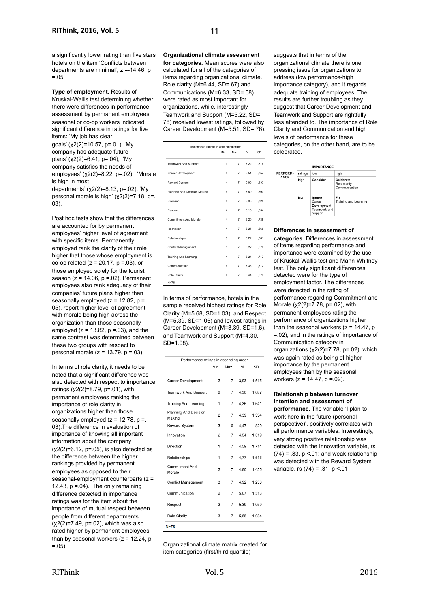a significantly lower rating than five stars hotels on the item 'Conflicts between departments are minimal', z =-14.46, p  $= 0.5.$ 

**Type of employment.** Results of Kruskal-Wallis test determining whether there were differences in performance assessment by permanent employees, seasonal or co-op workers indicated significant difference in ratings for five items: 'My job has clear

goals' (χ2(2)=10.57, p=.01), 'My company has adequate future plans' (χ2(2)=6.41, p=.04), 'My company satisfies the needs of employees' (χ2(2)=8.22, p=.02), 'Morale is high in most departments' (χ2(2)=8.13, p=.02), 'My personal morale is high' (χ2(2)=7.18, p=. 03).

Post hoc tests show that the differences are accounted for by permanent employees' higher level of agreement with specific items. Permanently employed rank the clarity of their role higher that those whose employment is co-op related ( $z = 20.17$ ,  $p = .03$ ), or those employed solely for the tourist season ( $z = 14.06$ ,  $p = 0.02$ ). Permanent employees also rank adequacy of their companies' future plans higher than seasonally employed  $(z = 12.82, p = 1)$ 05), report higher level of agreement with morale being high across the organization than those seasonally employed ( $z = 13.82$ ,  $p = 0.03$ ), and the same contrast was determined between these two groups with respect to personal morale ( $z = 13.79$ ,  $p = .03$ ).

In terms of role clarity, it needs to be noted that a significant difference was also detected with respect to importance ratings  $(χ2(2)=8.79, p=.01)$ , with permanent employees ranking the importance of role clarity in organizations higher than those seasonally employed  $(z = 12.78, p =$ . 03).The difference in evaluation of importance of knowing all important information about the company  $(x2(2)=6.12, p=.05)$ , is also detected as the difference between the higher rankings provided by permanent employees as opposed to their seasonal-employment counterparts (z = 12.43,  $p = 04$ ). The only remaining difference detected in importance ratings was for the item about the importance of mutual respect between people from different departments  $(x2(2)=7.49, p=.02)$ , which was also rated higher by permanent employees than by seasonal workers  $(z = 12.24, p$  $= 0.5$ ).

**Organizational climate assessment** 

**for categories.** Mean scores were also calculated for all of the categories of items regarding organizational climate. Role clarity (M=6.44, SD=.67) and Communications (M=6.33, SD=.68) were rated as most important for organizations, while, interestingly Teamwork and Support (M=5.22, SD=. 78) received lowest ratings, followed by Career Development (M=5.51, SD=.76).

| Importance ratings in ascending order |                |                |      |      |  |
|---------------------------------------|----------------|----------------|------|------|--|
|                                       | Min            | Max.           | м    | SD   |  |
| <b>Teamwork And Support</b>           | 3              | $\overline{7}$ | 5.22 | .776 |  |
| <b>Career Development</b>             | 4              | $\overline{7}$ | 5.51 | .757 |  |
| Reward System                         | $\overline{4}$ | $\overline{7}$ | 5,80 | .933 |  |
| Planning And Decision Making          | 4              | $\overline{7}$ | 5.89 | .693 |  |
| Direction                             | $\overline{4}$ | $\overline{7}$ | 5,98 | .725 |  |
| Respect                               | 4              | $\overline{7}$ | 6.15 | .654 |  |
| Commitment And Morale                 | 4              | $\overline{7}$ | 6.20 | ,739 |  |
| Innovation                            | 4              | $\overline{7}$ | 6.21 | .568 |  |
| Relationships                         | 3              | $\overline{7}$ | 6,22 | .861 |  |
| <b>Conflict Management</b>            | 5              | $\overline{7}$ | 6.22 | .676 |  |
| <b>Training And Learning</b>          | $\overline{4}$ | $\overline{7}$ | 6.24 | ,717 |  |
| Communication                         | 4              | $\overline{7}$ | 6.33 | .677 |  |
| Role Clarity                          | $\overline{4}$ | $\overline{7}$ | 6.44 | .672 |  |
| $N=76$                                |                |                |      |      |  |

In terms of performance, hotels in the sample received highest ratings for Role Clarity (M=5.68, SD=1.03), and Respect (M=5.39, SD=1.06) and lowest ratings in Career Development (M=3.39, SD=1.6), and Teamwork and Support (M=4.30, SD=1.08).

| Performance ratings in ascending order |                |                |      |       |  |
|----------------------------------------|----------------|----------------|------|-------|--|
|                                        | Min.           | Max.           | M    | SD    |  |
| Career Development                     | $\overline{2}$ | 7              | 3.93 | 1.515 |  |
| <b>Teamwork And Support</b>            | $\overline{2}$ | $\overline{7}$ | 4.30 | 1,087 |  |
| <b>Training And Learning</b>           | 1              | $\overline{7}$ | 4,36 | 1,641 |  |
| <b>Planning And Decision</b><br>Making | $\overline{2}$ | $\overline{7}$ | 4,39 | 1,334 |  |
| <b>Reward System</b>                   | 3              | 6              | 4,47 | ,829  |  |
| Innovation                             | $\overline{2}$ | $\overline{7}$ | 4,54 | 1,519 |  |
| Direction                              | 1              | $\overline{7}$ | 4.59 | 1,714 |  |
| Relationships                          | 1              | 7              | 4,77 | 1,515 |  |
| <b>Commitment And</b><br>Morale        | $\overline{2}$ | $\overline{7}$ | 4.80 | 1.455 |  |
| <b>Conflict Management</b>             | 3              | $\overline{7}$ | 4.92 | 1,258 |  |
| Communication                          | $\overline{2}$ | $\overline{7}$ | 5.07 | 1,313 |  |
| Respect                                | 2              | 7              | 5.39 | 1.059 |  |
| <b>Role Clarity</b>                    | 3              | $\overline{7}$ | 5.68 | 1.034 |  |

Organizational climate matrix created for item categories (first/third quartile)

suggests that in terms of the organizational climate there is one pressing issue for organizations to address (low performance-high importance category), and it regards adequate training of employees. The results are further troubling as they suggest that Career Development and Teamwork and Support are rightfully less attended to. The importance of Role Clarity and Communication and high levels of performance for these categories, on the other hand, are to be celebrated.

|             |         | <b>IMPORTANCE</b>                                          |                                            |
|-------------|---------|------------------------------------------------------------|--------------------------------------------|
| PERFORM-    | ratings | low                                                        | high                                       |
| <b>ANCE</b> | hiah    | Consider<br>٠                                              | Celebrate<br>Role clarity<br>Communication |
|             | low     | Ignore<br>Career<br>Development<br>Teamwork and<br>Support | Fix<br>Training and Learning               |

#### **Differences in assessment of**

**categories.** Differences in assessment of items regarding performance and importance were examined by the use of Kruskal-Wallis test and Mann-Whitney test. The only significant differences detected were for the type of employment factor. The differences were detected in the rating of performance regarding Commitment and Morale (χ2(2)=7.78, p=.02), with permanent employees rating the performance of organizations higher than the seasonal workers  $(z = 14.47, p$ =.02), and in the ratings of importance of Communication category in organizations  $(\chi2(2)=7.78, p=.02)$ , which was again rated as being of higher importance by the permanent employees than by the seasonal workers ( $z = 14.47$ ,  $p = 02$ ).

#### **Relationship between turnover intention and assessment of**

**performance.** The variable 'I plan to work here in the future (personal perspective)', positively correlates with all performance variables. Interestingly, very strong positive relationship was detected with the Innovation variable, rs  $(74) = .83$ ,  $p < .01$ ; and weak relationship was detected with the Reward System variable, rs (74) = .31, p ˂.01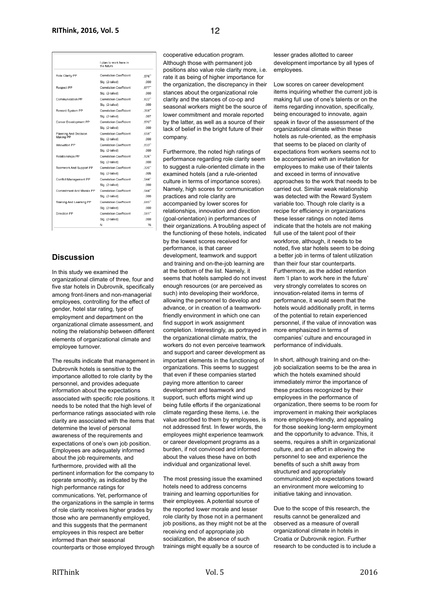|                          | I plan to work here in<br>the future |       |
|--------------------------|--------------------------------------|-------|
| Role Clarity PP          | <b>Correlation Coefficient</b>       | ,576" |
|                          | Sig. (2-tailed)                      | .000  |
| <b>Respect PP</b>        | <b>Correlation Coefficient</b>       | .677" |
|                          | Sig. (2-tailed)                      | ,000  |
| Communication PP         | <b>Correlation Coefficient</b>       | .622" |
|                          | Sig. (2-tailed)                      | .000  |
| Reward System PP         | <b>Correlation Coefficient</b>       | .308" |
|                          | Sig. (2-tailed)                      | ,007  |
| Career Development PP    | <b>Correlation Coefficient</b>       | .570" |
|                          | Sig. (2-tailed)                      | ,000  |
| Planning And Decision    | <b>Correlation Coefficient</b>       | .658" |
| Making PP                | Sig. (2-tailed)                      | .000  |
| Innovation PP            | <b>Correlation Coefficient</b>       | .833" |
|                          | Sig. (2-tailed)                      | ,000  |
| <b>Relationships PP</b>  | <b>Correlation Coefficient</b>       | .526" |
|                          | Sig. (2-tailed)                      | ,000  |
| Teamwork And Support PP  | <b>Correlation Coefficient</b>       | .320" |
|                          | Sig. (2-tailed)                      | ,005  |
| Conflict Management PP   | Correlation Coefficient              | .544" |
|                          | Sig. (2-tailed)                      | ,000  |
| Commitment And Morale PP | <b>Correlation Coefficient</b>       | .544" |
|                          | Sig. (2-tailed)                      | .000  |
| Training And Learning PP | <b>Correlation Coefficient</b>       | .685" |
|                          | Sig. (2-tailed)                      | ,000  |
| Direction PP             | <b>Correlation Coefficient</b>       | .581" |
|                          | Sig. (2-tailed)                      | .000  |
|                          | N                                    | 76    |

## **Discussion**

In this study we examined the organizational climate of three, four and five star hotels in Dubrovnik, specifically among front-liners and non-managerial employees, controlling for the effect of gender, hotel star rating, type of employment and department on the organizational climate assessment, and noting the relationship between different elements of organizational climate and employee turnover.

The results indicate that management in Dubrovnik hotels is sensitive to the importance allotted to role clarity by the personnel, and provides adequate information about the expectations associated with specific role positions. It needs to be noted that the high level of performance ratings associated with role clarity are associated with the items that determine the level of personal awareness of the requirements and expectations of one's own job position. Employees are adequately informed about the job requirements, and furthermore, provided with all the pertinent information for the company to operate smoothly, as indicated by the high performance ratings for communications. Yet, performance of the organizations in the sample in terms of role clarity receives higher grades by those who are permanently employed, and this suggests that the permanent employees in this respect are better informed than their seasonal counterparts or those employed through

cooperative education program. Although those with permanent job positions also value role clarity more, i.e. rate it as being of higher importance for the organization, the discrepancy in their stances about the organizational role clarity and the stances of co-op and seasonal workers might be the source of lower commitment and morale reported by the latter, as well as a source of their lack of belief in the bright future of their company.

Furthermore, the noted high ratings of performance regarding role clarity seem to suggest a rule-oriented climate in the examined hotels (and a rule-oriented culture in terms of importance scores). Namely, high scores for communication practices and role clarity are accompanied by lower scores for relationships, innovation and direction (goal-orientation) in performances of their organizations. A troubling aspect of the functioning of these hotels, indicated by the lowest scores received for performance, is that career development, teamwork and support and training and on-the-job learning are at the bottom of the list. Namely, it seems that hotels sampled do not invest enough resources (or are perceived as such) into developing their workforce, allowing the personnel to develop and advance, or in creation of a teamworkfriendly environment in which one can find support in work assignment completion. Interestingly, as portrayed in the organizational climate matrix, the workers do not even perceive teamwork and support and career development as important elements in the functioning of organizations. This seems to suggest that even if these companies started paying more attention to career development and teamwork and support, such efforts might wind up being futile efforts if the organizational climate regarding these items, i.e. the value ascribed to them by employees, is not addressed first. In fewer words, the employees might experience teamwork or career development programs as a burden, if not convinced and informed about the values these have on both individual and organizational level.

The most pressing issue the examined hotels need to address concerns training and learning opportunities for their employees. A potential source of the reported lower morale and lesser role clarity by those not in a permanent job positions, as they might not be at the receiving end of appropriate job socialization, the absence of such trainings might equally be a source of

lesser grades allotted to career development importance by all types of employees.

Low scores on career development items inquiring whether the current job is making full use of one's talents or on the items regarding innovation, specifically, being encouraged to innovate, again speak in favor of the assessment of the organizational climate within these hotels as rule-oriented, as the emphasis that seems to be placed on clarity of expectations from workers seems not to be accompanied with an invitation for employees to make use of their talents and exceed in terms of innovative approaches to the work that needs to be carried out. Similar weak relationship was detected with the Reward System variable too. Though role clarity is a recipe for efficiency in organizations these lesser ratings on noted items indicate that the hotels are not making full use of the talent pool of their workforce, although, it needs to be noted, five star hotels seem to be doing a better job in terms of talent utilization than their four star counterparts. Furthermore, as the added retention item 'I plan to work here in the future' very strongly correlates to scores on innovation-related items in terms of performance, it would seem that the hotels would additionally profit, in terms of the potential to retain experienced personnel, if the value of innovation was more emphasized in terms of companies' culture and encouraged in performance of individuals.

In short, although training and on-thejob socialization seems to be the area in which the hotels examined should immediately mirror the importance of these practices recognized by their employees in the performance of organization, there seems to be room for improvement in making their workplaces more employee-friendly, and appealing for those seeking long-term employment and the opportunity to advance. This, it seems, requires a shift in organizational culture, and an effort in allowing the personnel to see and experience the benefits of such a shift away from structured and appropriately communicated job expectations toward an environment more welcoming to initiative taking and innovation.

Due to the scope of this research, the results cannot be generalized and observed as a measure of overall organizational climate in hotels in Croatia or Dubrovnik region. Further research to be conducted is to include a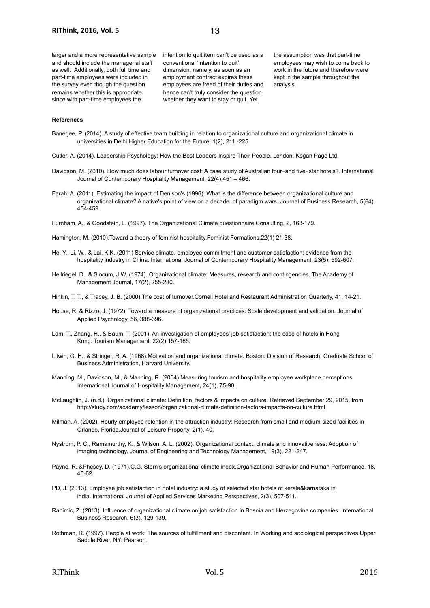larger and a more representative sample and should include the managerial staff as well. Additionally, both full time and part-time employees were included in the survey even though the question remains whether this is appropriate since with part-time employees the

intention to quit item can't be used as a conventional 'intention to quit' dimension; namely, as soon as an employment contract expires these employees are freed of their duties and hence can't truly consider the question whether they want to stay or quit. Yet

the assumption was that part-time employees may wish to come back to work in the future and therefore were kept in the sample throughout the analysis.

#### **References**

- Banerjee, P. (2014). A study of effective team building in relation to organizational culture and organizational climate in universities in Delhi.Higher Education for the Future, 1(2), 211 -225.
- Cutler, A. (2014). Leadership Psychology: How the Best Leaders Inspire Their People. London: Kogan Page Ltd.
- Davidson, M. (2010). How much does labour turnover cost: A case study of Australian four-and five-star hotels?. International Journal of Contemporary Hospitality Management, 22(4),451 – 466.
- Farah, A. (2011). Estimating the impact of Denison's (1996): What is the difference between organizational culture and organizational climate? A native's point of view on a decade of paradigm wars. Journal of Business Research, 5(64), 454-459.

Furnham, A., & Goodstein, L. (1997). The Organizational Climate questionnaire.Consulting, 2, 163-179.

- Hamington, M. (2010).Toward a theory of feminist hospitality.Feminist Formations,22(1) 21-38.
- He, Y., Li, W., & Lai, K.K. (2011) Service climate, employee commitment and customer satisfaction: evidence from the hospitality industry in China. International Journal of Contemporary Hospitality Management, 23(5), 592-607.
- Hellriegel, D., & Slocum, J.W. (1974). Organizational climate: Measures, research and contingencies. The Academy of Management Journal, 17(2), 255-280.
- Hinkin, T. T., & Tracey, J. B. (2000).The cost of turnover.Cornell Hotel and Restaurant Administration Quarterly, 41, 14-21.
- House, R. & Rizzo, J. (1972). Toward a measure of organizational practices: Scale development and validation. Journal of Applied Psychology, 56, 388-396.
- Lam, T., Zhang, H., & Baum, T. (2001). An investigation of employees' job satisfaction: the case of hotels in Hong Kong. Tourism Management, 22(2),157-165.
- Litwin, G. H., & Stringer, R. A. (1968).Motivation and organizational climate. Boston: Division of Research, Graduate School of Business Administration, Harvard University.
- Manning, M., Davidson, M., & Manning, R. (2004).Measuring tourism and hospitality employee workplace perceptions. International Journal of Hospitality Management, 24(1), 75-90.
- McLaughlin, J. (n.d.). Organizational climate: Definition, factors & impacts on culture. Retrieved September 29, 2015, from http://study.com/academy/lesson/organizational-climate-definition-factors-impacts-on-culture.html
- Milman, A. (2002). Hourly employee retention in the attraction industry: Research from small and medium-sized facilities in Orlando, Florida.Journal of Leisure Property, 2(1), 40.
- Nystrom, P. C., Ramamurthy, K., & Wilson, A. L. (2002). Organizational context, climate and innovativeness: Adoption of imaging technology. Journal of Engineering and Technology Management, 19(3), 221-247.
- Payne, R. &Phesey, D. (1971).C.G. Stern's organizational climate index.Organizational Behavior and Human Performance, 18, 45-62.
- PD, J. (2013). Employee job satisfaction in hotel industry: a study of selected star hotels of kerala&karnataka in india. International Journal of Applied Services Marketing Perspectives, 2(3), 507-511.
- Rahimic, Z. (2013). Influence of organizational climate on job satisfaction in Bosnia and Herzegovina companies. International Business Research, 6(3), 129-139.
- Rothman, R. (1997). People at work: The sources of fulfillment and discontent. In Working and sociological perspectives.Upper Saddle River, NY: Pearson.